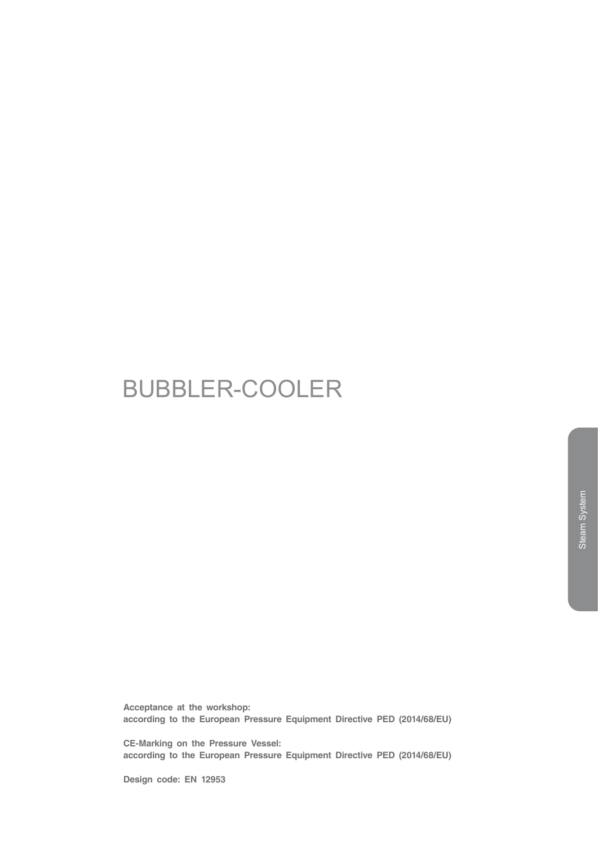# BUBBLER-COOLER

**Acceptance at the workshop: according to the European Pressure Equipment Directive PED (2014/68/EU)**

**CE-Marking on the Pressure Vessel: according to the European Pressure Equipment Directive PED (2014/68/EU)**

**Design code: EN 12953**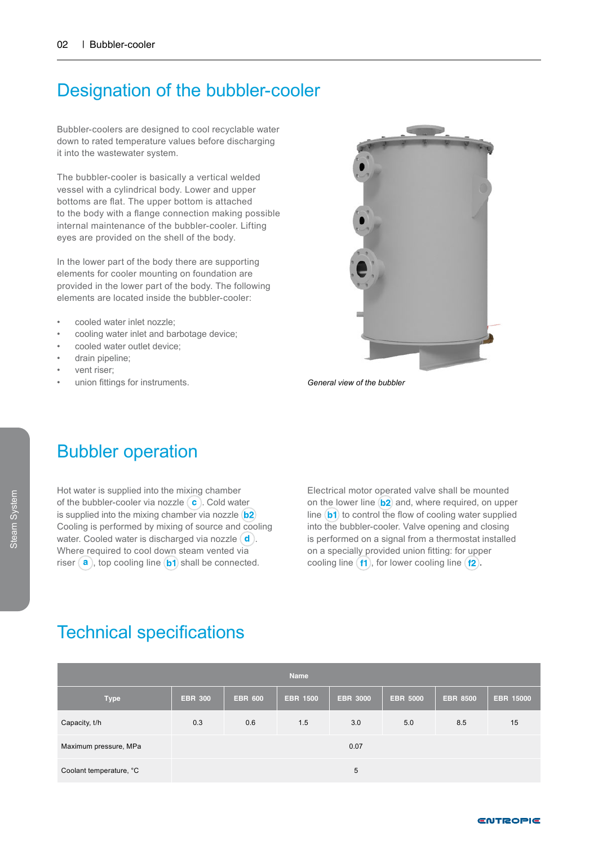### Designation of the bubbler-cooler

Bubbler-coolers are designed to cool recyclable water down to rated temperature values before discharging it into the wastewater system.

The bubbler-cooler is basically a vertical welded vessel with a cylindrical body. Lower and upper bottoms are flat. The upper bottom is attached to the body with a flange connection making possible internal maintenance of the bubbler-cooler. Lifting eyes are provided on the shell of the body.

In the lower part of the body there are supporting elements for cooler mounting on foundation are provided in the lower part of the body. The following elements are located inside the bubbler-cooler:

- cooled water inlet nozzle;
- cooling water inlet and barbotage device;
- cooled water outlet device;
- drain pipeline;
- vent riser:
- union fittings for instruments.



*General view of the bubbler*

### Bubbler operation

Hot water is supplied into the mixing chamber of the bubbler-cooler via nozzle  $\left( \mathbf{c} \right)$ . Cold water is supplied into the mixing chamber via nozzle (b2) Cooling is performed by mixing of source and cooling water. Cooled water is discharged via nozzle  $(d)$ . Where required to cool down steam vented via riser  $(a)$ , top cooling line  $(b1)$  shall be connected.

Electrical motor operated valve shall be mounted on the lower line  $\mathbf{b2}$  and, where required, on upper line  $(b1)$  to control the flow of cooling water supplied into the bubbler-cooler. Valve opening and closing is performed on a signal from a thermostat installed on a specially provided union fitting: for upper cooling line  $(f1)$ , for lower cooling line  $(f2)$ .

#### Technical specifications

| <b>Name</b>             |                |                |                 |                 |                 |                 |                  |  |  |  |  |  |
|-------------------------|----------------|----------------|-----------------|-----------------|-----------------|-----------------|------------------|--|--|--|--|--|
| <b>Type</b>             | <b>EBR 300</b> | <b>EBR 600</b> | <b>EBR 1500</b> | <b>EBR 3000</b> | <b>EBR 5000</b> | <b>EBR 8500</b> | <b>EBR 15000</b> |  |  |  |  |  |
| Capacity, t/h           | 0.3            | 0.6            | 1.5             | 3.0             | 5.0             | 8.5             | 15               |  |  |  |  |  |
| Maximum pressure, MPa   | 0.07           |                |                 |                 |                 |                 |                  |  |  |  |  |  |
| Coolant temperature, °C |                |                |                 | 5               |                 |                 |                  |  |  |  |  |  |

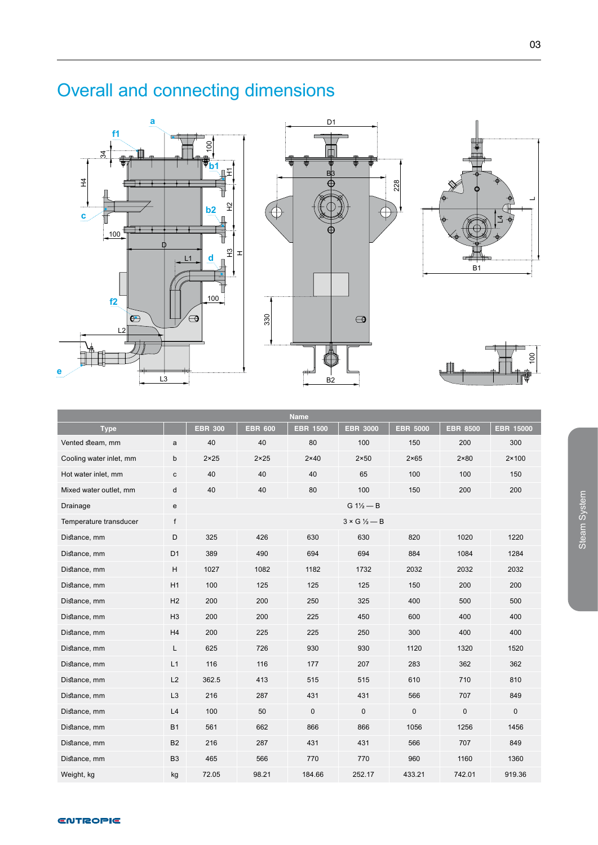# Overall and connecting dimensions





228





| <b>Name</b>             |                |                                  |                |                 |                 |                 |                 |                  |  |  |  |  |  |
|-------------------------|----------------|----------------------------------|----------------|-----------------|-----------------|-----------------|-----------------|------------------|--|--|--|--|--|
| <b>Type</b>             |                | <b>EBR 300</b>                   | <b>EBR 600</b> | <b>EBR 1500</b> | <b>EBR 3000</b> | <b>EBR 5000</b> | <b>EBR 8500</b> | <b>EBR 15000</b> |  |  |  |  |  |
| Vented steam, mm        | a              | 40                               | 40             | 80              | 100             | 150             | 200             | 300              |  |  |  |  |  |
| Cooling water inlet, mm | b              | $2 \times 25$                    | $2 \times 25$  | $2 \times 40$   | $2 \times 50$   | $2 \times 65$   | $2 \times 80$   | $2 \times 100$   |  |  |  |  |  |
| Hot water inlet, mm     | с              | 40                               | 40             | 40              | 65              | 100             | 100             | 150              |  |  |  |  |  |
| Mixed water outlet, mm  | d              | 40                               | 40             | 80              | 100             | 150             | 200             | 200              |  |  |  |  |  |
| Drainage                | e              | $G 1\frac{1}{2} - B$             |                |                 |                 |                 |                 |                  |  |  |  |  |  |
| Temperature transducer  | f              | $3 \times G$ $\frac{1}{2}$ $- B$ |                |                 |                 |                 |                 |                  |  |  |  |  |  |
| Distance, mm            | D              | 325                              | 426            | 630             | 630             | 820             | 1020            | 1220             |  |  |  |  |  |
| Distance, mm            | D <sub>1</sub> | 389                              | 490            | 694             | 694             | 884             | 1084            | 1284             |  |  |  |  |  |
| Distance, mm            | H              | 1027                             | 1082           | 1182            | 1732            | 2032            | 2032            | 2032             |  |  |  |  |  |
| Distance, mm            | H1             | 100                              | 125            | 125             | 125             | 150             | 200             | 200              |  |  |  |  |  |
| Distance, mm            | H <sub>2</sub> | 200                              | 200            | 250             | 325             | 400             | 500             | 500              |  |  |  |  |  |
| Distance, mm            | H <sub>3</sub> | 200                              | 200            | 225             | 450             | 600             | 400             | 400              |  |  |  |  |  |
| Distance, mm            | H4             | 200                              | 225            | 225             | 250             | 300             | 400             | 400              |  |  |  |  |  |
| Distance, mm            | L              | 625                              | 726            | 930             | 930             | 1120            | 1320            | 1520             |  |  |  |  |  |
| Distance, mm            | L1             | 116                              | 116            | 177             | 207             | 283             | 362             | 362              |  |  |  |  |  |
| Distance, mm            | L2             | 362.5                            | 413            | 515             | 515             | 610             | 710             | 810              |  |  |  |  |  |
| Distance, mm            | L <sub>3</sub> | 216                              | 287            | 431             | 431             | 566             | 707             | 849              |  |  |  |  |  |
| Distance, mm            | L4             | 100                              | 50             | $\pmb{0}$       | $\mathsf 0$     | 0               | $\pmb{0}$       | $\mathbf 0$      |  |  |  |  |  |
| Distance, mm            | <b>B1</b>      | 561                              | 662            | 866             | 866             | 1056            | 1256            | 1456             |  |  |  |  |  |
| Distance, mm            | <b>B2</b>      | 216                              | 287            | 431             | 431             | 566             | 707             | 849              |  |  |  |  |  |
| Distance, mm            | B <sub>3</sub> | 465                              | 566            | 770             | 770             | 960             | 1160            | 1360             |  |  |  |  |  |
| Weight, kg              | kg             | 72.05                            | 98.21          | 184.66          | 252.17          | 433.21          | 742.01          | 919.36           |  |  |  |  |  |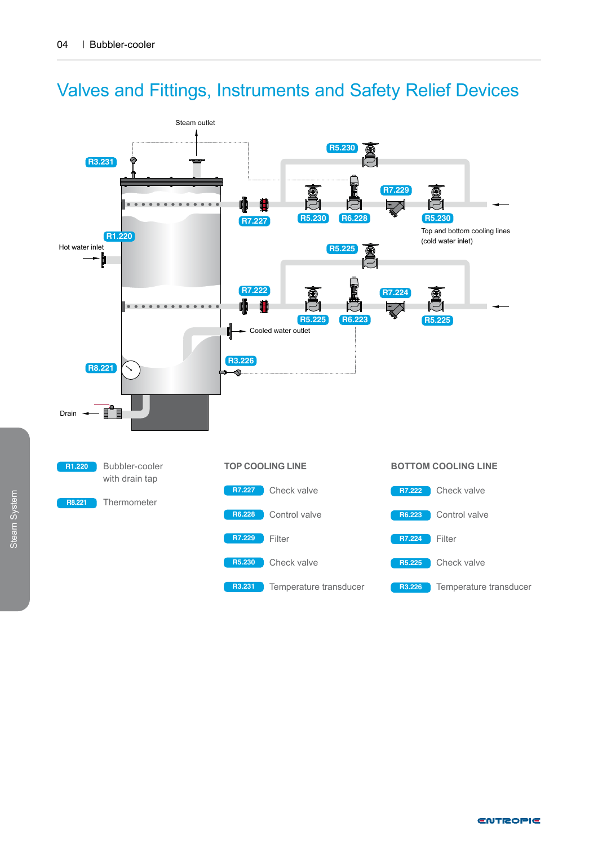

### Valves and Fittings, Instruments and Safety Relief Devices